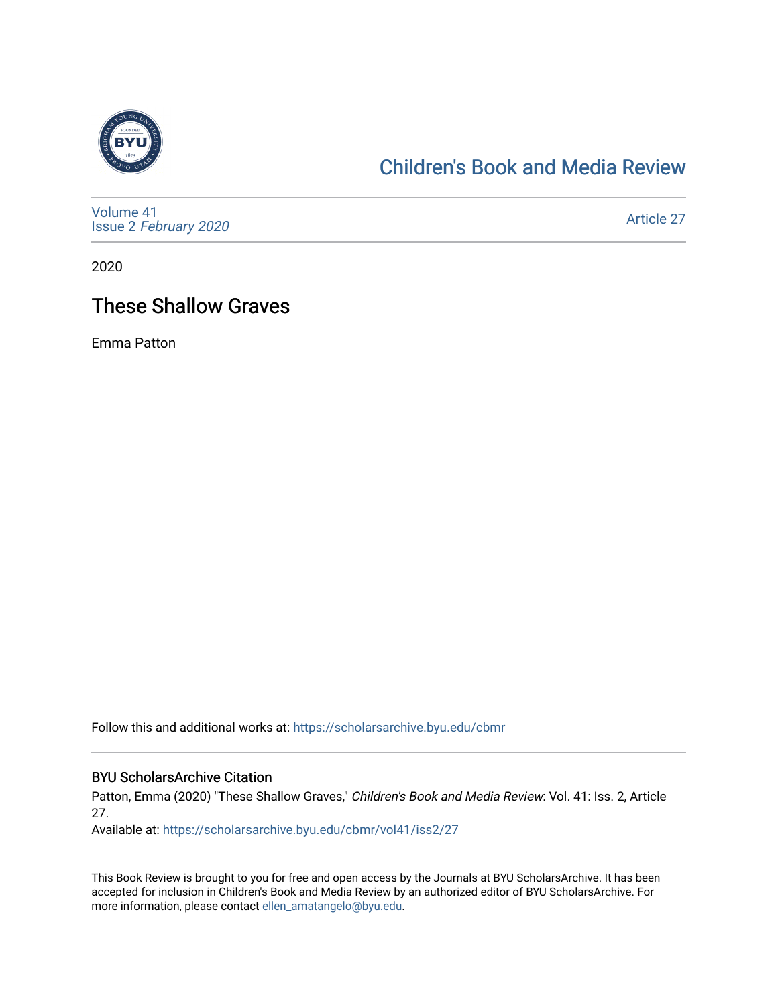

# [Children's Book and Media Review](https://scholarsarchive.byu.edu/cbmr)

[Volume 41](https://scholarsarchive.byu.edu/cbmr/vol41) Issue 2 [February 2020](https://scholarsarchive.byu.edu/cbmr/vol41/iss2)

[Article 27](https://scholarsarchive.byu.edu/cbmr/vol41/iss2/27) 

2020

# These Shallow Graves

Emma Patton

Follow this and additional works at: [https://scholarsarchive.byu.edu/cbmr](https://scholarsarchive.byu.edu/cbmr?utm_source=scholarsarchive.byu.edu%2Fcbmr%2Fvol41%2Fiss2%2F27&utm_medium=PDF&utm_campaign=PDFCoverPages) 

#### BYU ScholarsArchive Citation

Patton, Emma (2020) "These Shallow Graves," Children's Book and Media Review: Vol. 41: Iss. 2, Article 27.

Available at: [https://scholarsarchive.byu.edu/cbmr/vol41/iss2/27](https://scholarsarchive.byu.edu/cbmr/vol41/iss2/27?utm_source=scholarsarchive.byu.edu%2Fcbmr%2Fvol41%2Fiss2%2F27&utm_medium=PDF&utm_campaign=PDFCoverPages)

This Book Review is brought to you for free and open access by the Journals at BYU ScholarsArchive. It has been accepted for inclusion in Children's Book and Media Review by an authorized editor of BYU ScholarsArchive. For more information, please contact [ellen\\_amatangelo@byu.edu.](mailto:ellen_amatangelo@byu.edu)